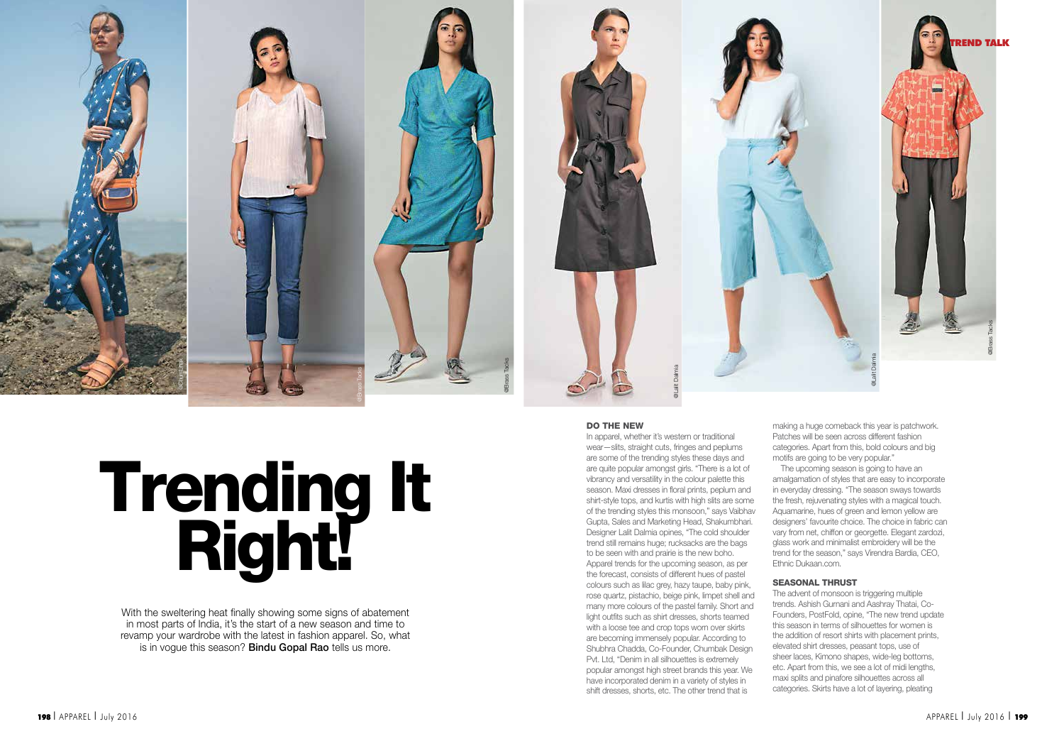

# Trending It<br>Right!

With the sweltering heat finally showing some signs of abatement in most parts of India, it's the start of a new season and time to revamp your wardrobe with the latest in fashion apparel. So, what is in vogue this season? Bindu Gopal Rao tells us more.

# DO THE NEW

In apparel, whether it's western or traditional wear—slits, straight cuts, fringes and peplums are some of the trending styles these days and are quite popular amongst girls. "There is a lot of vibrancy and versatility in the colour palette this season. Maxi dresses in floral prints, peplum and shirt-style tops, and kurtis with high slits are some of the trending styles this monsoon," says Vaibhav Gupta, Sales and Marketing Head, Shakumbhari. Designer Lalit Dalmia opines, "The cold shoulder trend still remains huge; rucksacks are the bags to be seen with and prairie is the new boho. Apparel trends for the upcoming season, as per the forecast, consists of different hues of pastel colours such as lilac grey, hazy taupe, baby pink, rose quartz, pistachio, beige pink, limpet shell and many more colours of the pastel family. Short and light outfits such as shirt dresses, shorts teamed with a loose tee and crop tops worn over skirts are becoming immensely popular. According to Shubhra Chadda, Co-Founder, Chumbak Design Pvt. Ltd, "Denim in all silhouettes is extremely popular amongst high street brands this year. We have incorporated denim in a variety of styles in shift dresses, shorts, etc. The other trend that is

making a huge comeback this year is patchwork. Patches will be seen across different fashion categories. Apart from this, bold colours and big motifs are going to be very popular."

The upcoming season is going to have an amalgamation of styles that are easy to incorporate in everyday dressing. "The season sways towards the fresh, rejuvenating styles with a magical touch. Aquamarine, hues of green and lemon yellow are designers' favourite choice. The choice in fabric can vary from net, chiffon or georgette. Elegant zardozi, glass work and minimalist embroidery will be the trend for the season," says Virendra Bardia, CEO, Ethnic Dukaan.com.

# SEASONAL THRUST

The advent of monsoon is triggering multiple trends. Ashish Gurnani and Aashray Thatai, Co-Founders, PostFold, opine, "The new trend update this season in terms of silhouettes for women is the addition of resort shirts with placement prints, elevated shirt dresses, peasant tops, use of sheer laces, Kimono shapes, wide-leg bottoms, etc. Apart from this, we see a lot of midi lengths, maxi splits and pinafore silhouettes across all categories. Skirts have a lot of layering, pleating